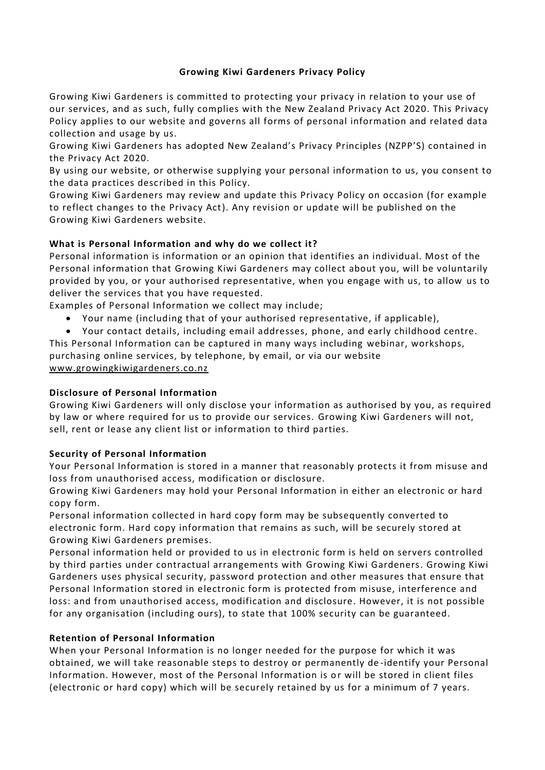# **Growing Kiwi Gardeners Privacy Policy**

Growing Kiwi Gardeners is committed to protecting your privacy in relation to your use of our services, and as such, fully complies with the New Zealand Privacy Act 2020. This Privacy Policy applies to our website and governs all forms of personal information and related data collection and usage by us.

Growing Kiwi Gardeners has adopted New Zealand's Privacy Principles (NZPP'S) contained in the Privacy Act 2020.

By using our website, or otherwise supplying your personal information to us, you consent to the data practices desc ribed in this Policy.

Growing Kiwi Gardeners may review and update this Privacy Policy on occasion (for example to reflect changes to the Privacy Act). Any revision or update will be published on the Growing Kiwi Gardeners website.

# **What is Personal Information and why do we collect it?**

Personal information is information or an opinion that identifies an individual. Most of the Personal information that Growing Kiwi Gardeners may collect about you, will be voluntarily provided by you, or your authorised representative, when you engage with us, to allow us to deliver the services that you have requested.

Examples of Personal Information we collect may include;

• Your name (including that of your authorised representative, if applicable),

• Your contact details, including email addresses, phone, and early childhood centre. This Personal Information can be captured in many ways including webinar, workshops, purchasing online services, by telephone, by email, or via our website www.growingkiwigardeners.co.nz

## **Disclosure of Personal Information**

Growing Kiwi Gardeners will only disclose your information as authorised by you, as required by law or where required for us to provide our services. Growing Kiwi Gardeners will not, sell, rent or lease any client list or information to third parties.

## **Security of Personal Information**

Your Personal Information is stored in a manner that reasonably protects it from misuse and loss from unauthorised access, modification or disclosure.

Growing Kiwi Gardeners may hold your Personal Information in either an electronic or hard copy form.

Personal information collected in hard copy form may be subsequently converted to electronic form. Hard copy information that remains as such, will be securely stored at Growing Kiwi Gardeners premises.

Personal information held or provided to us in electronic form is held on servers controlled by third parties under contractual arrangements with Growing Kiwi Gardeners. Growing Kiwi Gardeners uses physical security, password protection and other measures that ensure that Personal Information stored in electronic form is protected from misuse, interference and loss: and from unauthorised access, modification and disclosure. However, it is not possible for any organisation (including ours), to state that 100% security can be guaranteed.

## **Retention of Personal Information**

When your Personal Information is no longer needed for the purpose for which it was obtained, we will take reasonable steps to destroy or permanently de -identify your Personal Information. However, most of the Personal Information is or will be stored in client files (electronic or hard copy) which will be securely retained by us for a minimum of 7 years.